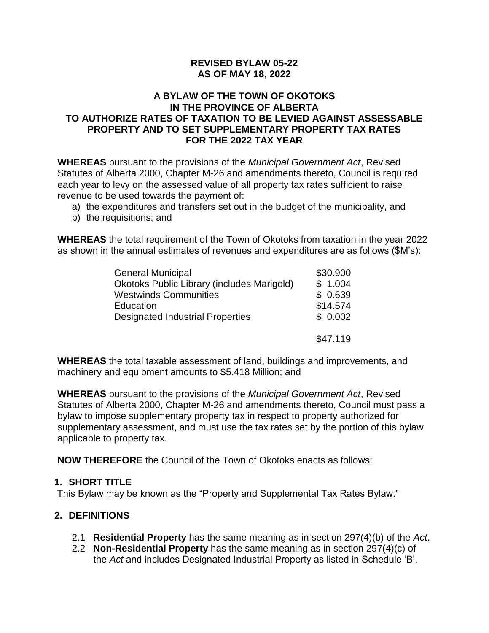#### **REVISED BYLAW 05-22 AS OF MAY 18, 2022**

#### **A BYLAW OF THE TOWN OF OKOTOKS IN THE PROVINCE OF ALBERTA TO AUTHORIZE RATES OF TAXATION TO BE LEVIED AGAINST ASSESSABLE PROPERTY AND TO SET SUPPLEMENTARY PROPERTY TAX RATES FOR THE 2022 TAX YEAR**

**WHEREAS** pursuant to the provisions of the *Municipal Government Act*, Revised Statutes of Alberta 2000, Chapter M-26 and amendments thereto, Council is required each year to levy on the assessed value of all property tax rates sufficient to raise revenue to be used towards the payment of:

- a) the expenditures and transfers set out in the budget of the municipality, and
- b) the requisitions; and

**WHEREAS** the total requirement of the Town of Okotoks from taxation in the year 2022 as shown in the annual estimates of revenues and expenditures are as follows (\$M's):

| <b>General Municipal</b>                          | \$30.900 |
|---------------------------------------------------|----------|
| <b>Okotoks Public Library (includes Marigold)</b> | \$1.004  |
| <b>Westwinds Communities</b>                      | \$0.639  |
| Education                                         | \$14.574 |
| <b>Designated Industrial Properties</b>           | \$0.002  |
|                                                   | \$47.119 |

**WHEREAS** the total taxable assessment of land, buildings and improvements, and machinery and equipment amounts to \$5.418 Million; and

**WHEREAS** pursuant to the provisions of the *Municipal Government Act*, Revised Statutes of Alberta 2000, Chapter M-26 and amendments thereto, Council must pass a bylaw to impose supplementary property tax in respect to property authorized for supplementary assessment, and must use the tax rates set by the portion of this bylaw applicable to property tax.

**NOW THEREFORE** the Council of the Town of Okotoks enacts as follows:

# **1. SHORT TITLE**

This Bylaw may be known as the "Property and Supplemental Tax Rates Bylaw."

# **2. DEFINITIONS**

- 2.1 **Residential Property** has the same meaning as in section 297(4)(b) of the *Act*.
- 2.2 **Non-Residential Property** has the same meaning as in section 297(4)(c) of the *Act* and includes Designated Industrial Property as listed in Schedule 'B'.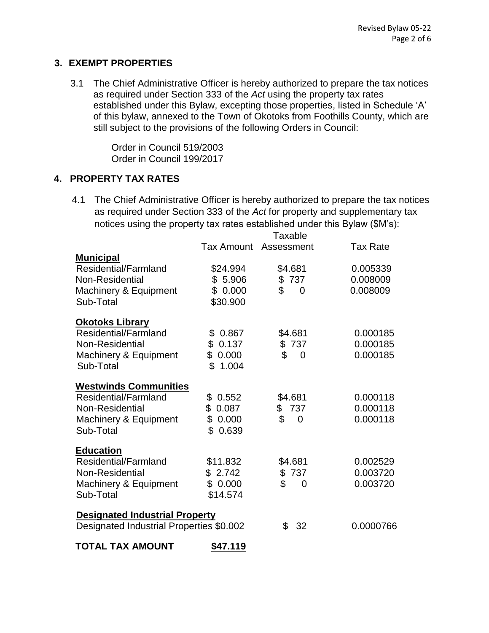#### **3. EXEMPT PROPERTIES**

3.1 The Chief Administrative Officer is hereby authorized to prepare the tax notices as required under Section 333 of the *Act* using the property tax rates established under this Bylaw, excepting those properties, listed in Schedule 'A' of this bylaw, annexed to the Town of Okotoks from Foothills County, which are still subject to the provisions of the following Orders in Council:

> Order in Council 519/2003 Order in Council 199/2017

# **4. PROPERTY TAX RATES**

4.1 The Chief Administrative Officer is hereby authorized to prepare the tax notices as required under Section 333 of the *Act* for property and supplementary tax notices using the property tax rates established under this Bylaw (\$M's):

|                                          | Taxable    |                      |                 |  |
|------------------------------------------|------------|----------------------|-----------------|--|
|                                          | Tax Amount | Assessment           | <b>Tax Rate</b> |  |
| <u>Municipal</u>                         |            |                      |                 |  |
| Residential/Farmland                     | \$24.994   | \$4.681              | 0.005339        |  |
| Non-Residential                          | \$5.906    | \$737                | 0.008009        |  |
| Machinery & Equipment                    | \$0.000    | \$<br>$\Omega$       | 0.008009        |  |
| Sub-Total                                | \$30.900   |                      |                 |  |
| <b>Okotoks Library</b>                   |            |                      |                 |  |
| Residential/Farmland                     | \$0.867    | \$4.681              | 0.000185        |  |
| Non-Residential                          | \$0.137    | \$737                | 0.000185        |  |
| Machinery & Equipment                    | \$0.000    | \$<br>$\Omega$       | 0.000185        |  |
| Sub-Total                                | \$1.004    |                      |                 |  |
| <b>Westwinds Communities</b>             |            |                      |                 |  |
| Residential/Farmland                     | \$0.552    | \$4.681              | 0.000118        |  |
| Non-Residential                          | \$0.087    | \$737                | 0.000118        |  |
| Machinery & Equipment                    | \$0.000    | \$<br>$\Omega$       | 0.000118        |  |
| Sub-Total                                | \$0.639    |                      |                 |  |
| <b>Education</b>                         |            |                      |                 |  |
| Residential/Farmland                     | \$11.832   | \$4.681              | 0.002529        |  |
| Non-Residential                          | \$2.742    | \$737                | 0.003720        |  |
| Machinery & Equipment                    | \$0.000    | \$<br>$\overline{0}$ | 0.003720        |  |
| Sub-Total                                | \$14.574   |                      |                 |  |
| <b>Designated Industrial Property</b>    |            |                      |                 |  |
| Designated Industrial Properties \$0.002 |            | \$<br>32             | 0.0000766       |  |
| <b>TOTAL TAX AMOUNT</b>                  | \$47.119   |                      |                 |  |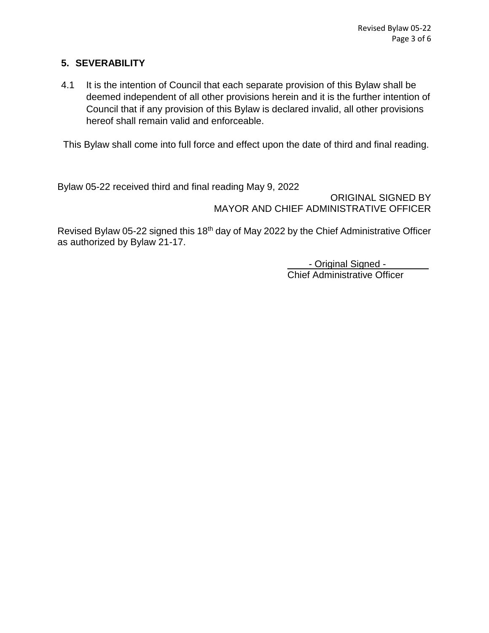# **5. SEVERABILITY**

4.1 It is the intention of Council that each separate provision of this Bylaw shall be deemed independent of all other provisions herein and it is the further intention of Council that if any provision of this Bylaw is declared invalid, all other provisions hereof shall remain valid and enforceable.

This Bylaw shall come into full force and effect upon the date of third and final reading.

Bylaw 05-22 received third and final reading May 9, 2022

ORIGINAL SIGNED BY MAYOR AND CHIEF ADMINISTRATIVE OFFICER

Revised Bylaw 05-22 signed this 18th day of May 2022 by the Chief Administrative Officer as authorized by Bylaw 21-17.

> - Original Signed -Chief Administrative Officer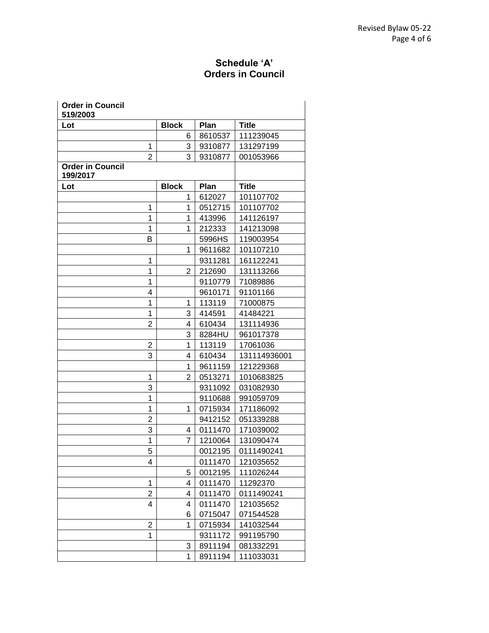# **Schedule 'A' Orders in Council**

| <b>Order in Council</b><br>519/2003 |                |         |              |
|-------------------------------------|----------------|---------|--------------|
| Lot                                 | <b>Block</b>   | Plan    | <b>Title</b> |
|                                     | 6              | 8610537 | 111239045    |
| 1                                   | 3              | 9310877 | 131297199    |
| $\overline{2}$                      | 3              | 9310877 | 001053966    |
| <b>Order in Council</b><br>199/2017 |                |         |              |
| Lot                                 | <b>Block</b>   | Plan    | <b>Title</b> |
|                                     | 1              | 612027  | 101107702    |
| 1                                   | 1              | 0512715 | 101107702    |
| 1                                   | 1              | 413996  | 141126197    |
| 1                                   | 1              | 212333  | 141213098    |
| в                                   |                | 5996HS  | 119003954    |
|                                     | 1              | 9611682 | 101107210    |
| 1                                   |                | 9311281 | 161122241    |
| 1                                   | $\overline{2}$ | 212690  | 131113266    |
| 1                                   |                | 9110779 | 71089886     |
| 4                                   |                | 9610171 | 91101166     |
| 1                                   | 1              | 113119  | 71000875     |
| 1                                   | 3              | 414591  | 41484221     |
| 2                                   | 4              | 610434  | 131114936    |
|                                     | 3              | 8284HU  | 961017378    |
| $\overline{2}$                      | 1              | 113119  | 17061036     |
| 3                                   | 4              | 610434  | 131114936001 |
|                                     | 1              | 9611159 | 121229368    |
| 1                                   | $\overline{2}$ | 0513271 | 1010683825   |
| 3                                   |                | 9311092 | 031082930    |
| 1                                   |                | 9110688 | 991059709    |
| 1                                   | 1              | 0715934 | 171186092    |
| $\overline{2}$                      |                | 9412152 | 051339288    |
| 3                                   | 4              | 0111470 | 171039002    |
| 1                                   | 7              | 1210064 | 131090474    |
| 5                                   |                | 0012195 | 0111490241   |
| 4                                   |                | 0111470 | 121035652    |
|                                     | 5              | 0012195 | 111026244    |
| 1                                   | 4              | 0111470 | 11292370     |
| $\overline{2}$                      | 4              | 0111470 | 0111490241   |
| 4                                   | 4              | 0111470 | 121035652    |
|                                     | 6              | 0715047 | 071544528    |
| $\overline{2}$                      | 1              | 0715934 | 141032544    |
| 1                                   |                | 9311172 | 991195790    |
|                                     | 3              | 8911194 | 081332291    |
|                                     | 1              | 8911194 | 111033031    |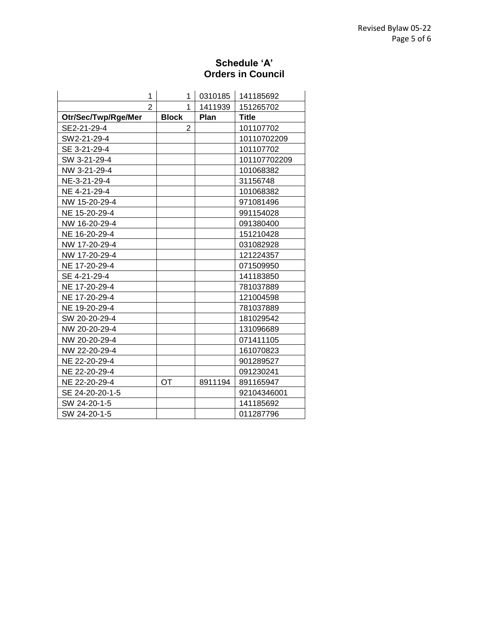#### **Schedule 'A' Orders in Council**

| 1                   |              | 1              | 0310185 | 141185692    |
|---------------------|--------------|----------------|---------|--------------|
| $\overline{2}$      |              | 1              | 1411939 | 151265702    |
| Otr/Sec/Twp/Rge/Mer | <b>Block</b> |                | Plan    | <b>Title</b> |
| SE2-21-29-4         |              | $\overline{2}$ |         | 101107702    |
| SW2-21-29-4         |              |                |         | 10110702209  |
| SE 3-21-29-4        |              |                |         | 101107702    |
| SW 3-21-29-4        |              |                |         | 101107702209 |
| NW 3-21-29-4        |              |                |         | 101068382    |
| NE-3-21-29-4        |              |                |         | 31156748     |
| NE 4-21-29-4        |              |                |         | 101068382    |
| NW 15-20-29-4       |              |                |         | 971081496    |
| NE 15-20-29-4       |              |                |         | 991154028    |
| NW 16-20-29-4       |              |                |         | 091380400    |
| NE 16-20-29-4       |              |                |         | 151210428    |
| NW 17-20-29-4       |              |                |         | 031082928    |
| NW 17-20-29-4       |              |                |         | 121224357    |
| NE 17-20-29-4       |              |                |         | 071509950    |
| SE 4-21-29-4        |              |                |         | 141183850    |
| NE 17-20-29-4       |              |                |         | 781037889    |
| NE 17-20-29-4       |              |                |         | 121004598    |
| NE 19-20-29-4       |              |                |         | 781037889    |
| SW 20-20-29-4       |              |                |         | 181029542    |
| NW 20-20-29-4       |              |                |         | 131096689    |
| NW 20-20-29-4       |              |                |         | 071411105    |
| NW 22-20-29-4       |              |                |         | 161070823    |
| NE 22-20-29-4       |              |                |         | 901289527    |
| NE 22-20-29-4       |              |                |         | 091230241    |
| NE 22-20-29-4       | <b>OT</b>    |                | 8911194 | 891165947    |
| SE 24-20-20-1-5     |              |                |         | 92104346001  |
| SW 24-20-1-5        |              |                |         | 141185692    |
| SW 24-20-1-5        |              |                |         | 011287796    |